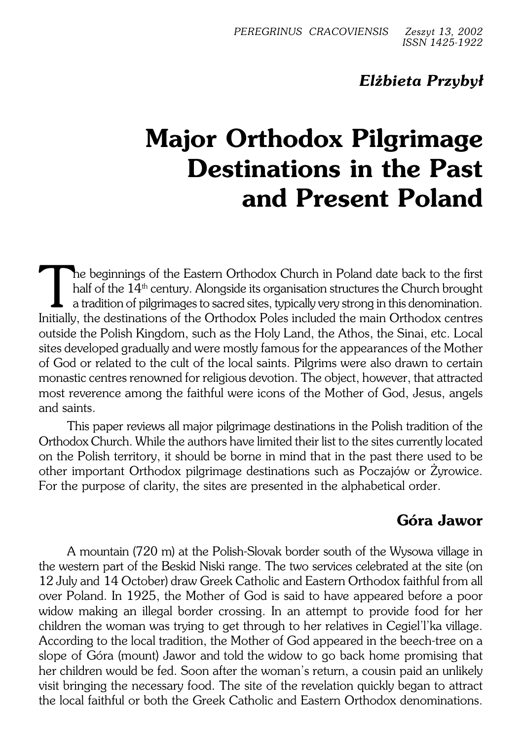# *Elżbieta Przybył*

# **Major Orthodox Pilgrimage Destinations in the Past and Present Poland**

The beginnings of the Eastern Orthodox Church in Poland date back to the first half of the 14<sup>th</sup> century. Alongside its organisation structures the Church brought a tradition of pilgrimages to sacred sites, typically very The beginnings of the Eastern Orthodox Church in Poland date back to the first half of the  $14^{\text{th}}$  century. Alongside its organisation structures the Church brought a tradition of pilgrimages to sacred sites, typically very strong in this denomination. outside the Polish Kingdom, such as the Holy Land, the Athos, the Sinai, etc. Local sites developed gradually and were mostly famous for the appearances of the Mother of God or related to the cult of the local saints. Pilgrims were also drawn to certain monastic centres renowned for religious devotion. The object, however, that attracted most reverence among the faithful were icons of the Mother of God, Jesus, angels and saints.

This paper reviews all major pilgrimage destinations in the Polish tradition of the Orthodox Church. While the authors have limited their list to the sites currently located on the Polish territory, it should be borne in mind that in the past there used to be other important Orthodox pilgrimage destinations such as Poczajów or Żyrowice. For the purpose of clarity, the sites are presented in the alphabetical order.

# **Góra Jawor**

A mountain (720 m) at the Polish−Slovak border south of theWysowa village in the western part of the Beskid Niski range. The two services celebrated at the site (on 12 July and14 October) draw Greek Catholic and Eastern Orthodox faithful from all over Poland. In 1925, the Mother of God is said to have appeared before a poor widow making an illegal border crossing. In an attempt to provide food for her children the woman was trying to get through to her relatives in Cegiel'l'ka village. According to the local tradition, the Mother of God appeared in the beech−tree on a slope of Góra (mount) Jawor and told the widow to go back home promising that her children would be fed. Soon after thewoman's return, a cousin paid an unlikely visit bringing the necessary food. The site of the revelation quickly began to attract the local faithful or both the Greek Catholic and Eastern Orthodox denominations.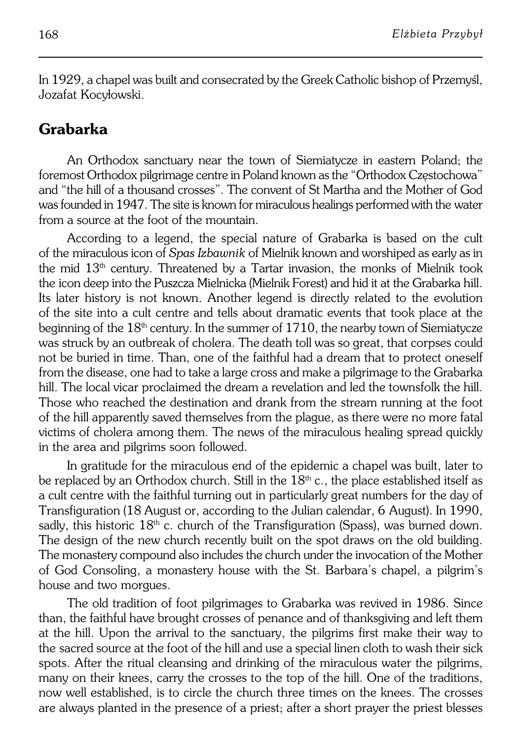In 1929, a chapel was built and consecrated by the Greek Catholic bishop of Przemyśl, Jozafat Kocyłowski.

## **Grabarka**

An Orthodox sanctuary near the town of Siemiatycze in eastern Poland; the foremost Orthodox pilgrimage centre in Poland known as the "Orthodox Częstochowa" and "the hill of a thousand crosses". The convent of St Martha and the Mother of God was founded in 1947. The site is known for miraculous healings performed with thewater from a source at the foot of the mountain

According to a legend, the special nature of Grabarka is based on the cult of the miraculous icon of *Spas Izbawnik* of Mielnik known and worshiped as early as in the mid 13th century. Threatened by a Tartar invasion, the monks of Mielnik took the icon deep into the Puszcza Mielnicka (Mielnik Forest) and hid it at the Grabarka hill. Its later history is not known. Another legend is directly related to the evolution ofthe site into a cult centre and tells about dramatic events that took place at the beginning of the  $18<sup>th</sup>$  century. In the summer of  $1710$ , the nearby town of Siemiatycze was struck by an outbreak of cholera. The death toll was so great, that corpses could not be buried in time. Than, one of the faithful had a dream that to protect oneself from the disease, one had to take a large cross and make a pilgrimage to the Grabarka hill. The local vicar proclaimed the dream a revelation and led the townsfolk the hill. Those who reached the destination and drank from the stream running at the foot of the hill apparently saved themselves from the plague, as there were no more fatal victims of cholera among them. The news of the miraculous healing spread quickly in the area and pilgrims soon followed.

In gratitude for the miraculous end of the epidemic a chapel was built, later to be replaced by an Orthodox church. Still in the  $18<sup>th</sup>$  c., the place established itself as a cult centre with the faithful turning out in particularly great numbers for the day of Transfiguration (18 August or, according to the Julian calendar, 6August). In 1990, sadly, this historic  $18<sup>th</sup>$  c. church of the Transfiguration (Spass), was burned down. The design of the new church recently built on the spot draws on the old building. The monastery compound also includes the church under the invocation of the Mother of God Consoling, a monastery house with the St. Barbara's chapel, a pilgrim's house and two morgues.

The old tradition of foot pilgrimages to Grabarka was revived in 1986. Since than, the faithful have brought crosses of penance and of thanksgiving and left them at the hill. Upon the arrival to the sanctuary, the pilgrims first make their way to the sacred source at the foot of the hill and use a special linen cloth to wash their sick spots. After the ritual cleansing and drinking of the miraculous water the pilgrims, many on their knees, carry the crosses to the top of the hill. One of the traditions, now well established, is to circle the church three times on the knees. The crosses are always planted in the presence of a priest; after a short prayer the priest blesses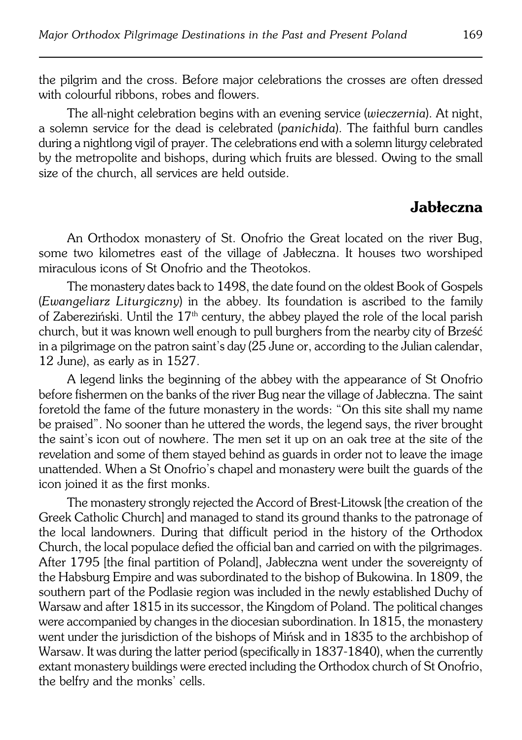the pilgrim and the cross. Before major celebrations the crosses are often dressed with colourful ribbons, robes and flowers.

The all−night celebration begins with an evening service (*wieczernia*). At night, a solemn service for the dead is celebrated (*panichida*). The faithful burn candles during a nightlong vigil of prayer. The celebrations end with a solemn liturgy celebrated by the metropolite and bishops, during which fruits are blessed. Owing to the small size of the church, all services are held outside.

#### **Jabłeczna**

An Orthodox monastery of St. Onofrio the Great located on the river Bug, some two kilometres east of the village of Jabłeczna. It houses two worshiped miraculous icons of St Onofrio and the Theotokos.

The monastery dates back to 1498, the date found on the oldest Book of Gospels (*Ewangeliarz Liturgiczny*) in the abbey. Its foundation is ascribed to the family of Zabereziński. Until the 17<sup>th</sup> century, the abbey played the role of the local parish church, but it was known well enough to pull burghers from the nearby city of Brześć in a pilgrimage on the patron saint's day (25 June or, according to the Julian calendar, 12 June), as early as in 1527.

A legend links the beginning of the abbey with the appearance of St Onofrio before fishermen on the banks of the river Bug near the village of Jabłeczna. The saint foretold the fame of the future monastery in the words: "On this site shall my name be praised". No sooner than he uttered the words, the legend says, the river brought the saint's icon out of nowhere. The men set it up on an oak tree at the site of the revelation and some of them stayed behind as guards in order not to leave the image unattended. When a St Onofrio's chapel and monastery were built theguards of the icon joined it as the first monks.

The monastery strongly rejected the Accord of Brest-Litowsk [the creation of the Greek Catholic Church] and managed to stand its ground thanks to the patronage of the local landowners. During that difficult period in the history of the Orthodox Church, the local populace defied the official ban and carried on with the pilgrimages. After 1795 [the final partition of Poland], Jabłeczna went under the sovereignty of the Habsburg Empire and was subordinated to the bishop of Bukowina. In 1809, the southern part of the Podlasie region was included in the newly established Duchy of Warsaw and after 1815 in its successor, the Kingdom of Poland. The political changes were accompanied by changes in the diocesian subordination. In 1815, the monastery went under the jurisdiction of the bishops of Mińsk and in 1835 to the archbishop of Warsaw. It was during the latter period (specifically in 1837−1840), when the currently extant monastery buildings were erected including the Orthodox church of St Onofrio, the belfry and the monks' cells.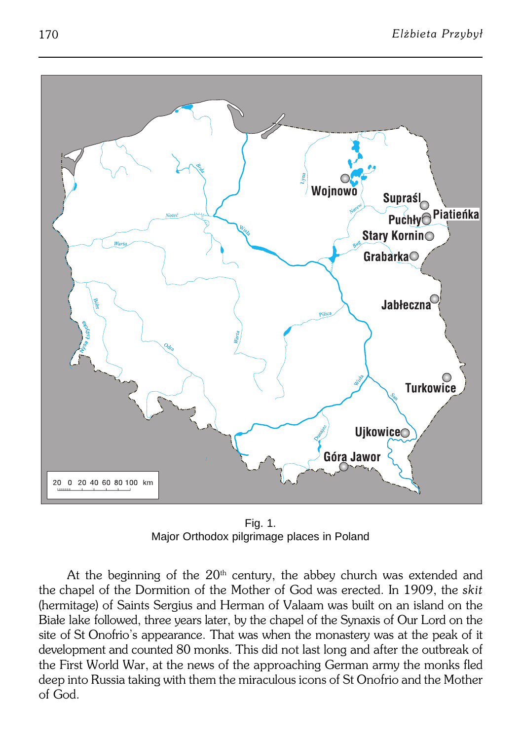

Fig. 1. Major Orthodox pilgrimage places in Poland

At the beginning of the  $20<sup>th</sup>$  century, the abbey church was extended and thechapel of the Dormition of the Mother of God was erected. In 1909, the *skit* (hermitage) of Saints Sergius and Herman of Valaam was built on an island on the Białe lake followed, three years later, by the chapel of the Synaxis of Our Lord on the site of St Onofrio's appearance. That was when the monastery was at the peak of it development and counted 80 monks. This did not last long and after the outbreak of the First World War, at the news of the approaching German army the monks fled deep into Russia taking with them the miraculous icons of St Onofrio and the Mother of God.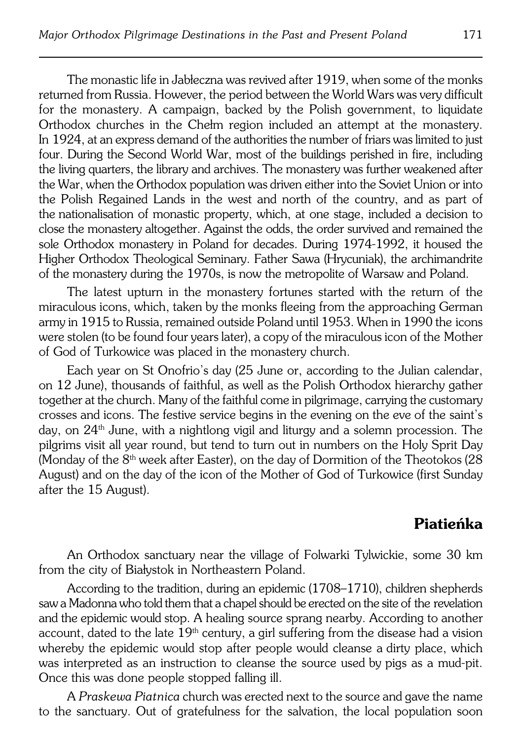The monastic life in Jabłeczna was revived after 1919, when some of the monks returned from Russia. However, the period between the World Wars was very difficult for the monastery. A campaign, backed by the Polish government, to liquidate Orthodox churches in the Chełm region included an attempt at the monastery. In 1924, at an express demand of the authorities the number of friars was limited to just four. During the Second World War, most of the buildings perished in fire, including the living quarters, the library and archives. The monastery was further weakened after the War, when the Orthodox population was driven either into the Soviet Union or into the Polish Regained Lands in the west and north of the country, and as part of the nationalisation of monastic property, which, at one stage, included a decision to close themonastery altogether. Against the odds, the order survived and remained the sole Orthodox monastery in Poland for decades. During 1974−1992, it housed the Higher Orthodox Theological Seminary. Father Sawa (Hrycuniak), the archimandrite of themonastery during the 1970s, is now the metropolite of Warsaw and Poland.

The latest upturn in the monastery fortunes started with the return of the miraculous icons, which, taken by the monks fleeing from the approaching German army in 1915 to Russia, remained outside Poland until 1953. When in 1990 the icons were stolen (to be found four years later), a copy of the miraculous icon of the Mother of God of Turkowice was placed in the monastery church.

Each year on St Onofrio's day (25 June or, according to the Julian calendar, on12 June), thousands of faithful, as well as the Polish Orthodox hierarchy gather together at the church. Many of the faithful come in pilgrimage, carrying the customary crosses and icons. The festive service begins in the evening on the eve of the saint's day, on 24<sup>th</sup> June, with a nightlong vigil and liturgy and a solemn procession. The pilgrims visit all year round, but tend to turn out in numbers on the Holy Sprit Day (Monday of the  $8<sup>th</sup>$  week after Easter), on the day of Dormition of the Theotokos (28) August) and on the day of the icon of the Mother of God of Turkowice (first Sunday after the 15 August).

#### **Piatieńka**

An Orthodox sanctuary near the village of Folwarki Tylwickie, some 30 km from the city of Białystok in Northeastern Poland.

According to the tradition, during an epidemic (1708–1710), children shepherds saw a Madonna who told them that a chapel should be erected on the site of the revelation and the epidemic would stop. A healing source sprang nearby. According to another account, dated to the late  $19<sup>th</sup>$  century, a girl suffering from the disease had a vision whereby the epidemic would stop after people would cleanse a dirty place, which was interpreted as an instruction to cleanse the source used by pigs as a mud-pit. Once this was done people stopped falling ill.

A *Praskewa Piatnica* church was erected next to the source and gave thename to the sanctuary. Out of gratefulness for the salvation, the local population soon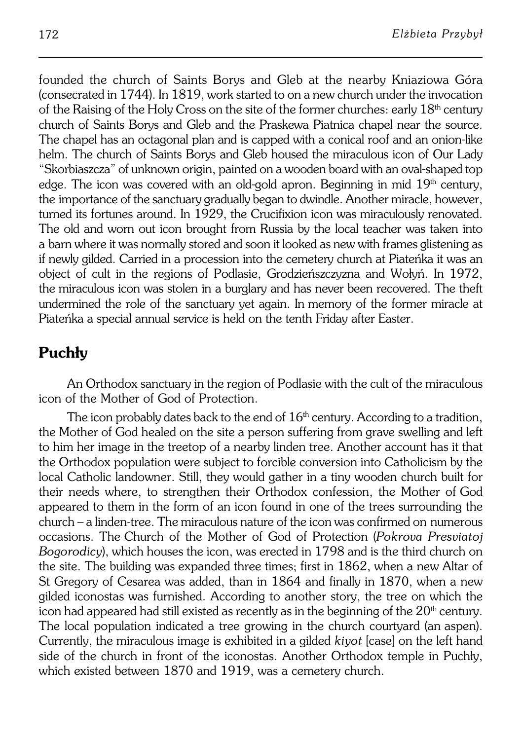founded the church of Saints Borys and Gleb at the nearby Kniaziowa Góra (consecrated in 1744). In 1819, work started to on a new church under the invocation of the Raising of the Holy Cross on the site of the former churches: early 18<sup>th</sup> century church of Saints Borys and Gleb and the Praskewa Piatnica chapel near the source. The chapel has an octagonal plan and is capped with a conical roof and an onion-like helm. The church of Saints Borys and Gleb housed the miraculous icon of Our Lady "Skorbiaszcza" of unknown origin, painted on a wooden board with an oval−shaped top edge. The icon was covered with an old-gold apron. Beginning in mid  $19<sup>th</sup>$  century, the importance of the sanctuary gradually began to dwindle. Another miracle, however, turned its fortunes around. In 1929, the Crucifixion icon was miraculously renovated. The old and worn out icon brought from Russia by the local teacher was taken into abarn where it was normally stored and soon it looked as new with frames glistening as if newly gilded. Carried in a procession into the cemetery church at Piateńka it was an object of cult in the regions of Podlasie, Grodzieńszczyzna and Wołyń. In 1972, the miraculous icon was stolen in a burglary and has never been recovered. The theft undermined the role of the sanctuary yet again. In memory of the former miracle at Piateńka a special annual service is held on the tenth Friday after Easter.

# **Puchły**

An Orthodox sanctuary in the region of Podlasie with the cult of the miraculous icon of the Mother of God of Protection.

The icon probably dates back to the end of  $16<sup>th</sup>$  century. According to a tradition, the Mother of God healed on the site a person suffering from grave swelling and left to him her image in the treetop of a nearby linden tree. Another account has it that the Orthodox population were subject to forcible conversion into Catholicism by the local Catholic landowner. Still, they would gather in a tiny wooden church built for their needs where, to strengthen their Orthodox confession, the Mother of God appeared to them in the form of an icon found in one of the trees surrounding the church – a linden-tree. The miraculous nature of the icon was confirmed on numerous occasions. TheChurch of the Mother of God of Protection (*Pokrova Presviatoj Bogorodicy*), which houses the icon, was erected in 1798 and is the third church on the site. The building was expanded three times; first in 1862, when a new Altar of St Gregory of Cesarea was added, than in 1864 and finally in 1870, when a new gilded iconostas was furnished. According to another story, the tree on which the icon had appeared had still existed as recently as in the beginning of the  $20<sup>th</sup>$  century. The local population indicated a tree growing in the church courtyard (anaspen). Currently, the miraculous image is exhibited in a gilded *kiyot* [case] on the left hand side of the church in front of the iconostas. Another Orthodox temple in Puchły, which existed between 1870 and 1919, was a cemetery church.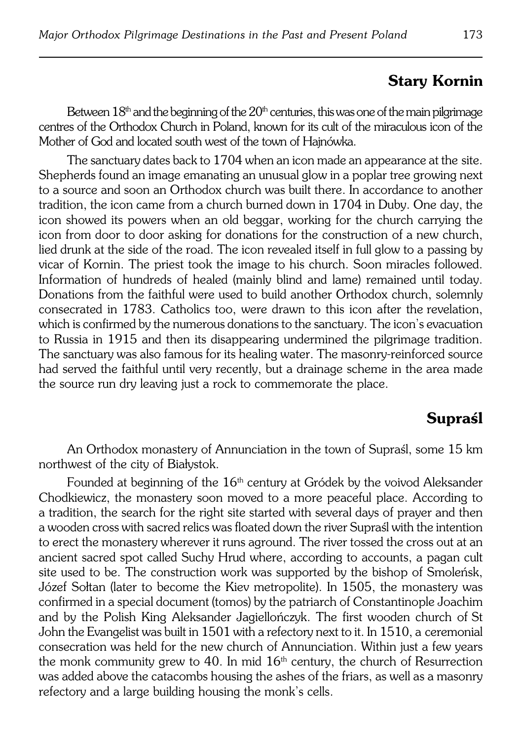# **Stary Kornin**

Between  $18<sup>th</sup>$  and the beginning of the  $20<sup>th</sup>$  centuries, this was one of the main pilgrimage centres of the Orthodox Church in Poland, known for its cult of the miraculous icon of the Mother of God and located south west of the town of Hajnówka.

The sanctuary dates back to 1704 when an icon made an appearance at the site. Shepherds found an image emanating an unusual glow in a poplar tree growing next to a source and soon an Orthodox church was built there. In accordance to another tradition, the icon came from a church burned down in 1704 in Duby. Oneday, the icon showed its powers when an old beggar, working for the church carrying the icon from door to door asking for donations for the construction of a new church, lied drunk at the side of the road. The icon revealed itself in full glow to a passing by vicar of Kornin. The priest took the image to his church. Soon miracles followed. Information of hundreds of healed (mainly blind and lame) remained until today. Donations from the faithful were used to build another Orthodox church, solemnly consecrated in 1783. Catholics too, were drawn to this icon after the revelation, which is confirmed by the numerous donations to the sanctuary. The icon's evacuation to Russia in 1915 and then its disappearing undermined the pilgrimage tradition. The sanctuary was also famous for its healing water. The masonry−reinforced source had served the faithful until very recently, but a drainage scheme in the area made the source run dry leaving just a rock to commemorate the place.

# **Supraśl**

An Orthodox monastery of Annunciation in the town of Supraśl, some 15 km northwest of the city of Białystok.

Founded at beginning of the 16<sup>th</sup> century at Gródek by the voivod Aleksander Chodkiewicz, the monastery soon moved to a more peaceful place. According to atradition, the search for the right site started with several days of prayer and then a wooden cross with sacred relics was floated down the river Supraśl with the intention to erect the monastery wherever it runs aground. The river tossed the cross out at an ancient sacred spot called Suchy Hrud where, according to accounts, a pagan cult site used to be. The construction work was supported by the bishop of Smoleńsk, Józef Sołtan (later to become the Kiev metropolite). In 1505, the monastery was confirmed in a special document (tomos) by the patriarch of Constantinople Joachim and by the Polish King Aleksander Jagiellończyk. The first wooden church of St John the Evangelist was built in 1501 with a refectory next to it. In 1510, aceremonial consecration was held for the new church of Annunciation. Within just a few years the monk community grew to 40. In mid  $16<sup>th</sup>$  century, the church of Resurrection was added above the catacombs housing the ashes of the friars, as well as a masonry refectory and a large building housing the monk's cells.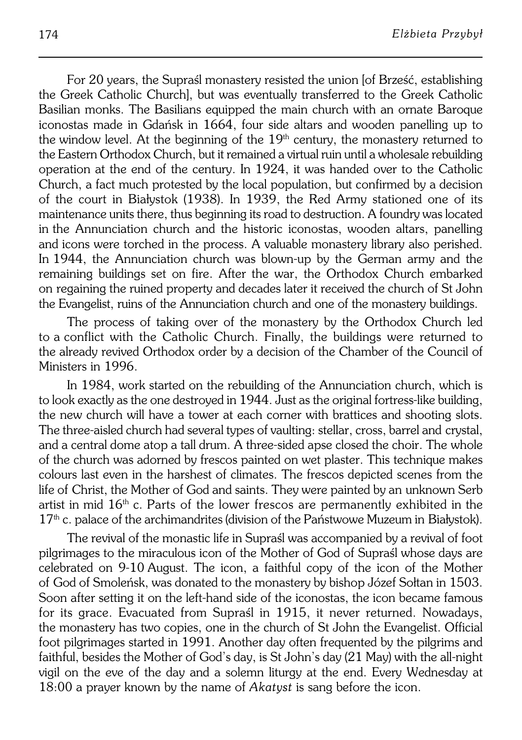For 20 years, the Supraśl monastery resisted the union [of Brześć, establishing the Greek Catholic Church], but was eventually transferred to the Greek Catholic Basilian monks. The Basilians equipped the main church with an ornate Baroque iconostas made in Gdańsk in 1664, four side altars and wooden panelling up to the window level. At the beginning of the  $19<sup>th</sup>$  century, the monastery returned to the Eastern Orthodox Church, but it remained a virtual ruin until a wholesale rebuilding operation at the end of the century. In 1924, it was handed over to the Catholic Church, a fact much protested by the local population, but confirmed by a decision of the court in Białystok (1938). In 1939, the Red Army stationed one of its maintenance units there, thus beginning its road to destruction. A foundry was located inthe Annunciation church and the historic iconostas, wooden altars, panelling and icons were torched in the process. A valuable monastery library also perished. In1944, the Annunciation church was blown−up by the German army and the remaining buildings set on fire. After the war, the Orthodox Church embarked onregaining the ruined property and decades later it received the church of St John the Evangelist, ruins of the Annunciation church and one of the monastery buildings.

The process of taking over of the monastery by the Orthodox Church led toaconflict with the Catholic Church. Finally, the buildings were returned to the already revived Orthodox order by a decision of the Chamber of the Council of Ministers in 1996.

In 1984, work started on the rebuilding of the Annunciation church, which is to look exactly as the one destroyed in 1944. Just as the original fortress−like building, the new church will have a tower at each corner with brattices and shooting slots. The three-aisled church had several types of vaulting: stellar, cross, barrel and crystal, and a central dome atop a tall drum. A three-sided apse closed the choir. The whole of the church was adorned by frescos painted on wet plaster. This technique makes colours last even in the harshest of climates. The frescos depicted scenes from the life of Christ, the Mother of God and saints. They were painted by an unknown Serb artist in mid  $16<sup>th</sup>$  c. Parts of the lower frescos are permanently exhibited in the  $17<sup>th</sup>$  c. palace of the archimandrites (division of the Państwowe Muzeum in Białystok).

The revival of the monastic life in Supraśl was accompanied by a revival of foot pilgrimages to the miraculous icon of the Mother of God of Supraśl whose days are celebrated on 9−10 August. The icon, a faithful copy of the icon of the Mother ofGod of Smoleńsk, was donated to the monastery by bishop Józef Sołtan in 1503. Soon after setting it on the left−hand side of the iconostas, the icon became famous for its grace. Evacuated from Supraśl in 1915, it never returned. Nowadays, the monastery has two copies, one in the church of St John the Evangelist. Official foot pilgrimages started in 1991. Another day often frequented by the pilgrims and faithful, besides the Mother of God's day, is St John's day (21 May) with the all−night vigil on the eve of the day and a solemn liturgy at the end. Every Wednesday at 18:00 aprayer known by the name of *Akatyst* is sang before the icon.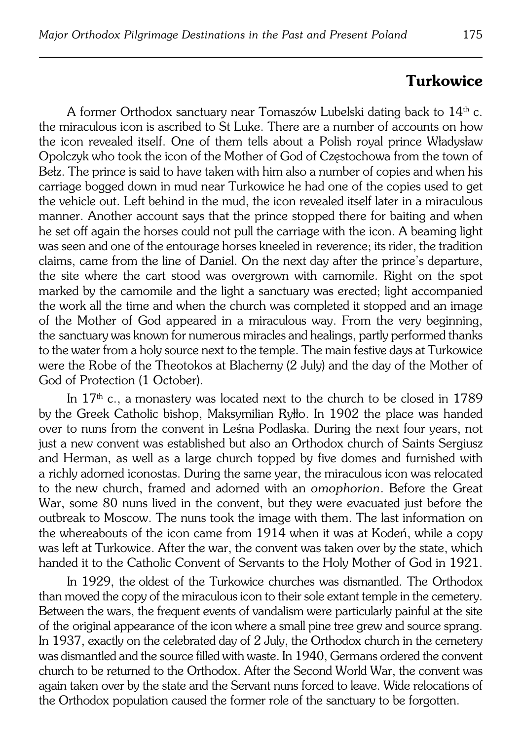#### **Turkowice**

A former Orthodox sanctuary near Tomaszów Lubelski dating back to  $14<sup>th</sup>$  c. the miraculous icon is ascribed to St Luke. There are a number of accounts on how the icon revealed itself. One of them tells about a Polish royal prince Władysław Opolczyk who took the icon of the Mother of God of Częstochowa from the town of Bełz. The prince is said to have taken with him also a number of copies and when his carriage bogged down in mud near Turkowice he had one ofthe copies used to get the vehicle out. Left behind in the mud, the icon revealed itself later in a miraculous manner. Another account says that the prince stopped there for baiting and when he set off again the horses could not pull the carriage with the icon. A beaming light was seen and one of the entourage horses kneeled in reverence; its rider, the tradition claims, came from the line of Daniel. On the next day after the prince's departure, the site where the cart stood was overgrown with camomile. Right on the spot marked by the camomile and the light a sanctuary was erected; light accompanied the work all the time and when the church was completed it stopped and an image of the Mother of God appeared in a miraculous way. From the very beginning, the sanctuary was known for numerous miracles and healings, partly performed thanks to the water from a holy source next to the temple. The main festive days at Turkowice were the Robe of the Theotokos at Blacherny (2 July) and the day of the Mother of God of Protection (1 October).

In  $17<sup>th</sup>$  c., a monastery was located next to the church to be closed in 1789 bythe Greek Catholic bishop, Maksymilian Ryłło. In 1902 the place was handed over to nuns from the convent in Leśna Podlaska. During the next four years, not just a new convent was established but also an Orthodox church of Saints Sergiusz and Herman, as well as a large church topped by five domes and furnished with a richly adorned iconostas. During the same year, the miraculous icon was relocated to thenew church, framed and adorned with an *omophorion*. Before the Great War, some 80 nuns lived in the convent, but they were evacuated just before the outbreak to Moscow. The nuns took the image with them. The last information on the whereabouts of the icon came from 1914 when it was at Kodeń, while a copy was left at Turkowice. After the war, the convent was taken over by the state, which handed it to the Catholic Convent of Servants to the Holy Mother of God in 1921.

In 1929, the oldest of the Turkowice churches was dismantled. The Orthodox than moved the copy of the miraculous icon to their sole extant temple in the cemetery. Between the wars, the frequent events of vandalism were particularly painful at the site of the original appearance of the icon where a small pine tree grew and source sprang. In 1937, exactly on the celebrated day of 2 July, the Orthodox church in the cemetery was dismantled and the source filled with waste. In 1940, Germans ordered the convent church to be returned to the Orthodox. After the Second World War, the convent was again taken over by the state and the Servant nuns forced to leave. Wide relocations of the Orthodox population caused the former role of the sanctuary to be forgotten.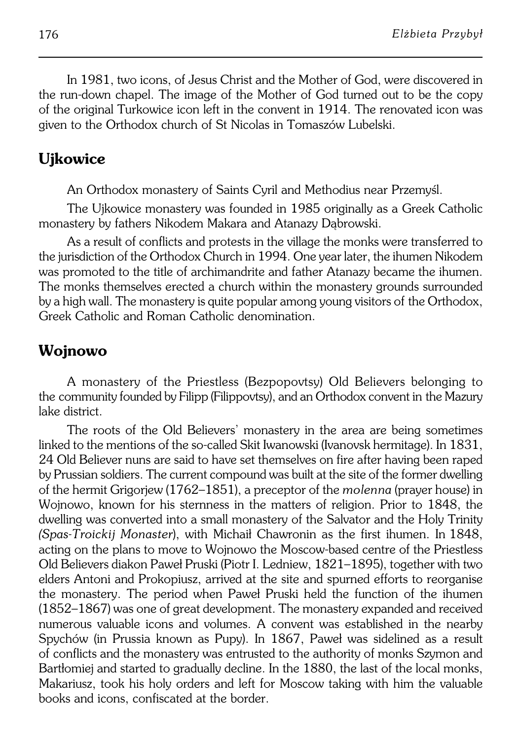In 1981, two icons, of Jesus Christ and the Mother of God, were discovered in the run−down chapel. The image of the Mother of God turned out to be the copy of the original Turkowice icon left in the convent in 1914. The renovated icon was given to the Orthodox church of St Nicolas in Tomaszów Lubelski.

# **Ujkowice**

An Orthodox monastery of Saints Cyril and Methodius near Przemyśl.

The Ujkowice monastery was founded in 1985 originally as a Greek Catholic monastery by fathers Nikodem Makara and Atanazy Dąbrowski.

As a result of conflicts and protests in the village the monks were transferred to the jurisdiction of the Orthodox Church in 1994. One year later, the ihumen Nikodem was promoted to the title of archimandrite and father Atanazy became the ihumen. The monks themselves erected a church within the monastery grounds surrounded by a high wall. The monastery is quite popular among young visitors of the Orthodox, Greek Catholic and Roman Catholic denomination.

# **Wojnowo**

A monastery of the Priestless (Bezpopovtsy) Old Believers belonging to the community founded by Filipp (Filippovtsy), and an Orthodox convent in the Mazury lake district.

The roots of the Old Believers' monastery in the area are being sometimes linked to the mentions of the so−called Skit Iwanowski (Ivanovsk hermitage). In 1831, 24 Old Believer nuns are said to have set themselves on fire after having been raped by Prussian soldiers. The current compound was built at the site of the former dwelling of the hermit Grigorjew (1762–1851), a preceptor of the *molenna* (prayer house) in Wojnowo, known for his sternness in the matters of religion. Prior to 1848, the dwelling was converted into a small monastery of the Salvator and the Holy Trinity *(Spas−Troickij Monaster*), with Michaił Chawronin as the first ihumen. In1848, acting on the plans to move to Wojnowo the Moscow−based centre of the Priestless Old Believers diakon Paweł Pruski (Piotr I. Ledniew, 1821–1895), together with two elders Antoni and Prokopiusz, arrived at the site and spurned efforts to reorganise the monastery. The period when Paweł Pruski held the function of the ihumen (1852–1867) was one of great development. The monastery expanded and received numerous valuable icons and volumes. A convent was established in the nearby Spychów (in Prussia known as Pupy). In 1867, Paweł was sidelined as a result of conflicts and the monastery was entrusted to the authority of monks Szymon and Bartłomiej and started to gradually decline. In the 1880, the last of the local monks, Makariusz, took his holy orders and left for Moscow taking with him the valuable books and icons, confiscated at the border.